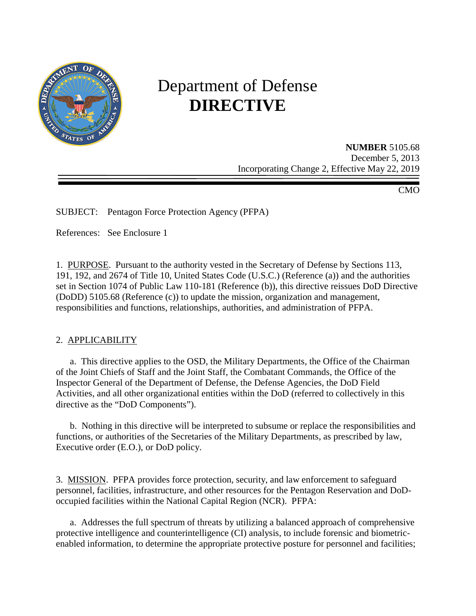

# Department of Defense **DIRECTIVE**

**NUMBER** 5105.68 December 5, 2013 Incorporating Change 2, Effective May 22, 2019

CMO

SUBJECT: Pentagon Force Protection Agency (PFPA)

References: See Enclosure 1

1. PURPOSE. Pursuant to the authority vested in the Secretary of Defense by Sections 113, 191, 192, and 2674 of Title 10, United States Code (U.S.C.) (Reference (a)) and the authorities set in Section 1074 of Public Law 110-181 (Reference (b)), this directive reissues DoD Directive (DoDD) 5105.68 (Reference (c)) to update the mission, organization and management, responsibilities and functions, relationships, authorities, and administration of PFPA.

## 2. APPLICABILITY

a. This directive applies to the OSD, the Military Departments, the Office of the Chairman of the Joint Chiefs of Staff and the Joint Staff, the Combatant Commands, the Office of the Inspector General of the Department of Defense, the Defense Agencies, the DoD Field Activities, and all other organizational entities within the DoD (referred to collectively in this directive as the "DoD Components").

 b. Nothing in this directive will be interpreted to subsume or replace the responsibilities and functions, or authorities of the Secretaries of the Military Departments, as prescribed by law, Executive order (E.O.), or DoD policy.

3. MISSION. PFPA provides force protection, security, and law enforcement to safeguard personnel, facilities, infrastructure, and other resources for the Pentagon Reservation and DoDoccupied facilities within the National Capital Region (NCR). PFPA:

a. Addresses the full spectrum of threats by utilizing a balanced approach of comprehensive protective intelligence and counterintelligence (CI) analysis, to include forensic and biometricenabled information, to determine the appropriate protective posture for personnel and facilities;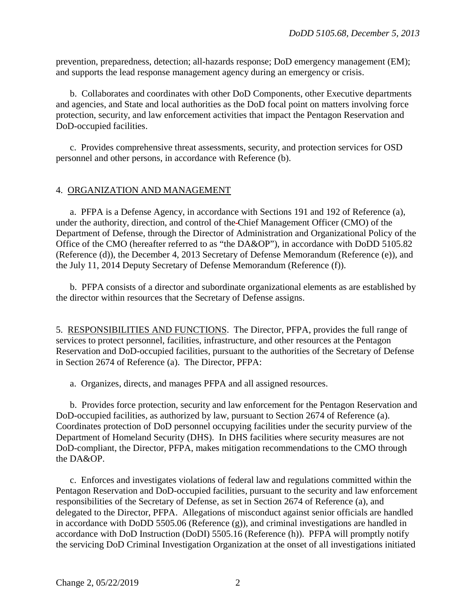prevention, preparedness, detection; all-hazards response; DoD emergency management (EM); and supports the lead response management agency during an emergency or crisis.

 b. Collaborates and coordinates with other DoD Components, other Executive departments and agencies, and State and local authorities as the DoD focal point on matters involving force protection, security, and law enforcement activities that impact the Pentagon Reservation and DoD-occupied facilities.

 c. Provides comprehensive threat assessments, security, and protection services for OSD personnel and other persons, in accordance with Reference (b).

#### 4. ORGANIZATION AND MANAGEMENT

a. PFPA is a Defense Agency, in accordance with Sections 191 and 192 of Reference (a), under the authority, direction, and control of the Chief Management Officer (CMO) of the Department of Defense, through the Director of Administration and Organizational Policy of the Office of the CMO (hereafter referred to as "the DA&OP"), in accordance with DoDD 5105.82 (Reference (d)), the December 4, 2013 Secretary of Defense Memorandum (Reference (e)), and the July 11, 2014 Deputy Secretary of Defense Memorandum (Reference (f)).

 b. PFPA consists of a director and subordinate organizational elements as are established by the director within resources that the Secretary of Defense assigns.

5. RESPONSIBILITIES AND FUNCTIONS. The Director, PFPA, provides the full range of services to protect personnel, facilities, infrastructure, and other resources at the Pentagon Reservation and DoD-occupied facilities, pursuant to the authorities of the Secretary of Defense in Section 2674 of Reference (a). The Director, PFPA:

a. Organizes, directs, and manages PFPA and all assigned resources.

 b. Provides force protection, security and law enforcement for the Pentagon Reservation and DoD-occupied facilities, as authorized by law, pursuant to Section 2674 of [Reference \(a\).](#page-8-0) Coordinates protection of DoD personnel occupying facilities under the security purview of the Department of Homeland Security (DHS). In DHS facilities where security measures are not DoD-compliant, the Director, PFPA, makes mitigation recommendations to the CMO through the DA&OP.

c. Enforces and investigates violations of federal law and regulations committed within the Pentagon Reservation and DoD-occupied facilities, pursuant to the security and law enforcement responsibilities of the Secretary of Defense, as set in Section 2674 of Reference (a), and delegated to the Director, PFPA. Allegations of misconduct against senior officials are handled in accordance with DoDD 5505.06 (Reference (g)), and criminal investigations are handled in accordance with DoD Instruction (DoDI) 5505.16 (Reference (h)). PFPA will promptly notify the servicing DoD Criminal Investigation Organization at the onset of all investigations initiated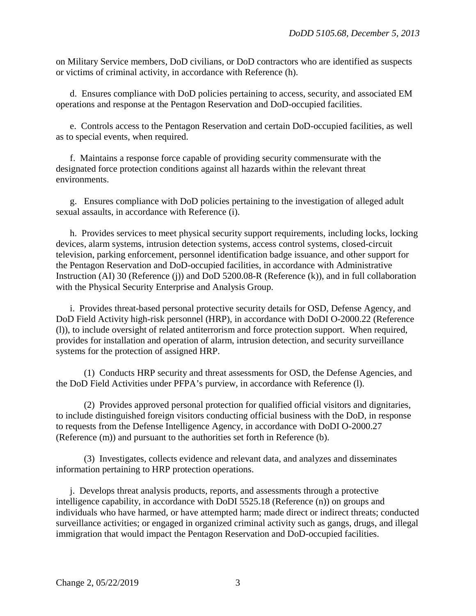on Military Service members, DoD civilians, or DoD contractors who are identified as suspects or victims of criminal activity, in accordance with Reference (h).

 d. Ensures compliance with DoD policies pertaining to access, security, and associated EM operations and response at the Pentagon Reservation and DoD-occupied facilities.

 e. Controls access to the Pentagon Reservation and certain DoD-occupied facilities, as well as to special events, when required.

 f. Maintains a response force capable of providing security commensurate with the designated force protection conditions against all hazards within the relevant threat environments.

g. Ensures compliance with DoD policies pertaining to the investigation of alleged adult sexual assaults, in accordance with Reference (i).

 h. Provides services to meet physical security support requirements, including locks, locking devices, alarm systems, intrusion detection systems, access control systems, closed-circuit television, parking enforcement, personnel identification badge issuance, and other support for the Pentagon Reservation and DoD-occupied facilities, in accordance with Administrative Instruction (AI) 30 (Reference (j)) and DoD 5200.08-R (Reference (k)), and in full collaboration with the Physical Security Enterprise and Analysis Group.

 i. Provides threat-based personal protective security details for OSD, Defense Agency, and DoD Field Activity high-risk personnel (HRP), in accordance with DoDI O-2000.22 (Reference (l)), to include oversight of related antiterrorism and force protection support. When required, provides for installation and operation of alarm, intrusion detection, and security surveillance systems for the protection of assigned HRP.

 (1) Conducts HRP security and threat assessments for OSD, the Defense Agencies, and the DoD Field Activities under PFPA's purview, in accordance with Reference (l).

 (2) Provides approved personal protection for qualified official visitors and dignitaries, to include distinguished foreign visitors conducting official business with the DoD, in response to requests from the Defense Intelligence Agency, in accordance with DoDI O-2000.27 (Reference (m)) and pursuant to the authorities set forth in Reference (b).

 (3) Investigates, collects evidence and relevant data, and analyzes and disseminates information pertaining to HRP protection operations.

 j. Develops threat analysis products, reports, and assessments through a protective intelligence capability, in accordance with DoDI 5525.18 (Reference (n)) on groups and individuals who have harmed, or have attempted harm; made direct or indirect threats; conducted surveillance activities; or engaged in organized criminal activity such as gangs, drugs, and illegal immigration that would impact the Pentagon Reservation and DoD-occupied facilities.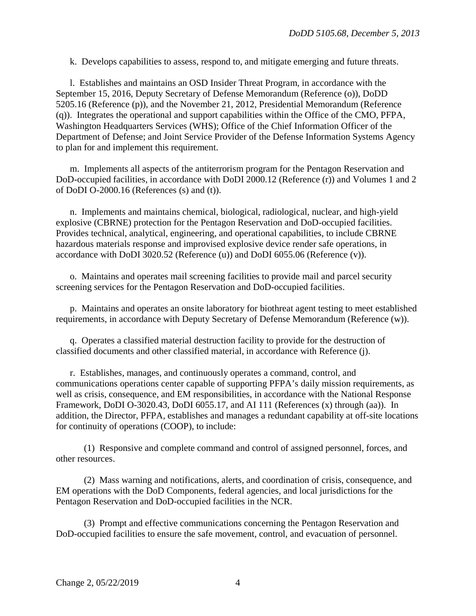k. Develops capabilities to assess, respond to, and mitigate emerging and future threats.

 l. Establishes and maintains an OSD Insider Threat Program, in accordance with the September 15, 2016, Deputy Secretary of Defense Memorandum (Reference (o)), DoDD 5205.16 (Reference (p)), and the November 21, 2012, Presidential Memorandum (Reference (q)). Integrates the operational and support capabilities within the Office of the CMO, PFPA, Washington Headquarters Services (WHS); Office of the Chief Information Officer of the Department of Defense; and Joint Service Provider of the Defense Information Systems Agency to plan for and implement this requirement.

 m. Implements all aspects of the antiterrorism program for the Pentagon Reservation and DoD-occupied facilities, in accordance with [DoDI 2000.12](file://pfpa.local/SHARED/POLICY/DODD%205105/pdf2/d200012p.pdf) (Reference (r)) and Volumes 1 and 2 of DoDI O-2000.16 (References (s) and (t)).

 n. Implements and maintains chemical, biological, radiological, nuclear, and high-yield explosive (CBRNE) protection for the Pentagon Reservation and DoD-occupied facilities. Provides technical, analytical, engineering, and operational capabilities, to include CBRNE hazardous materials response and improvised explosive device render safe operations, in accordance with DoDI 3020.52 (Reference (u)) and DoDI 6055.06 (Reference (v)).

 o. Maintains and operates mail screening facilities to provide mail and parcel security screening services for the Pentagon Reservation and DoD-occupied facilities.

 p. Maintains and operates an onsite laboratory for biothreat agent testing to meet established requirements, in accordance with Deputy Secretary of Defense Memorandum (Reference (w)).

 q. Operates a classified material destruction facility to provide for the destruction of classified documents and other classified material, in accordance with Reference (j).

 r. Establishes, manages, and continuously operates a command, control, and communications operations center capable of supporting PFPA's daily mission requirements, as well as crisis, consequence, and EM responsibilities, in accordance with the National Response Framework, DoDI O-3020.43, DoDI 6055.17, and AI 111 (References (x) through (aa)). In addition, the Director, PFPA, establishes and manages a redundant capability at off-site locations for continuity of operations (COOP), to include:

 (1) Responsive and complete command and control of assigned personnel, forces, and other resources.

 (2) Mass warning and notifications, alerts, and coordination of crisis, consequence, and EM operations with the DoD Components, federal agencies, and local jurisdictions for the Pentagon Reservation and DoD-occupied facilities in the NCR.

 (3) Prompt and effective communications concerning the Pentagon Reservation and DoD-occupied facilities to ensure the safe movement, control, and evacuation of personnel.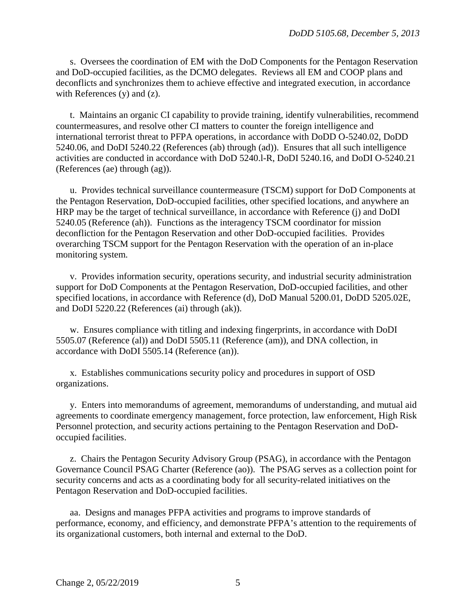s. Oversees the coordination of EM with the DoD Components for the Pentagon Reservation and DoD-occupied facilities, as the DCMO delegates. Reviews all EM and COOP plans and deconflicts and synchronizes them to achieve effective and integrated execution, in accordance with References (y) and (z).

 t. Maintains an organic CI capability to provide training, identify vulnerabilities, recommend countermeasures, and resolve other CI matters to counter the foreign intelligence and international terrorist threat to PFPA operations, in accordance with DoDD O-5240.02, DoDD 5240.06, and DoDI 5240.22 (References (ab) through (ad)). Ensures that all such intelligence activities are conducted in accordance with DoD 5240.l-R, DoDI 5240.16, and DoDI O-5240.21 (References (ae) through (ag)).

 u. Provides technical surveillance countermeasure (TSCM) support for DoD Components at the Pentagon Reservation, DoD-occupied facilities, other specified locations, and anywhere an HRP may be the target of technical surveillance, in accordance with Reference (j) and DoDI 5240.05 (Reference (ah)). Functions as the interagency TSCM coordinator for mission deconfliction for the Pentagon Reservation and other DoD-occupied facilities. Provides overarching TSCM support for the Pentagon Reservation with the operation of an in-place monitoring system.

 v. Provides information security, operations security, and industrial security administration support for DoD Components at the Pentagon Reservation, DoD-occupied facilities, and other specified locations, in accordance with Reference (d), [DoD Manual 5200.01,](file://pfpa.local/SHARED/POLICY/DODD%205105/pdf2/p52001r.pdf) DoDD 5205.02E, and [DoDI 5220.22](file://pfpa.local/SHARED/POLICY/DODD%205105/pdf2/d522022p.pdf) (References (ai) through (ak)).

 w. Ensures compliance with titling and indexing fingerprints, in accordance with DoDI 5505.07 (Reference (al)) and DoDI 5505.11 (Reference (am)), and DNA collection, in accordance with DoDI 5505.14 (Reference (an)).

 x. Establishes communications security policy and procedures in support of OSD organizations.

 y. Enters into memorandums of agreement, memorandums of understanding, and mutual aid agreements to coordinate emergency management, force protection, law enforcement, High Risk Personnel protection, and security actions pertaining to the Pentagon Reservation and DoDoccupied facilities.

 z. Chairs the Pentagon Security Advisory Group (PSAG), in accordance with the Pentagon Governance Council PSAG Charter (Reference (ao)). The PSAG serves as a collection point for security concerns and acts as a coordinating body for all security-related initiatives on the Pentagon Reservation and DoD-occupied facilities.

aa. Designs and manages PFPA activities and programs to improve standards of performance, economy, and efficiency, and demonstrate PFPA's attention to the requirements of its organizational customers, both internal and external to the DoD.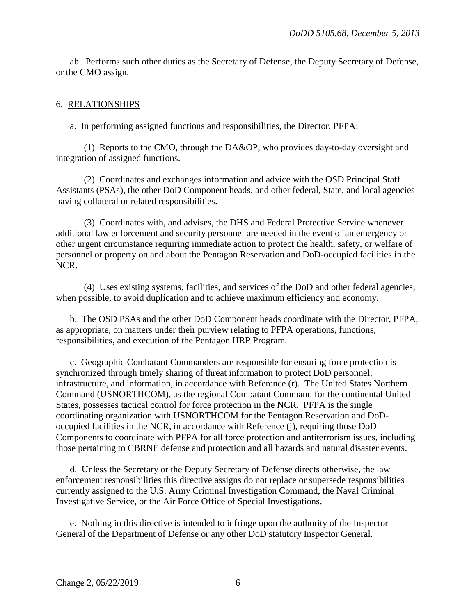ab. Performs such other duties as the Secretary of Defense, the Deputy Secretary of Defense, or the CMO assign.

#### 6. RELATIONSHIPS

a. In performing assigned functions and responsibilities, the Director, PFPA:

 (1) Reports to the CMO, through the DA&OP, who provides day-to-day oversight and integration of assigned functions.

 (2) Coordinates and exchanges information and advice with the OSD Principal Staff Assistants (PSAs), the other DoD Component heads, and other federal, State, and local agencies having collateral or related responsibilities.

 (3) Coordinates with, and advises, the DHS and Federal Protective Service whenever additional law enforcement and security personnel are needed in the event of an emergency or other urgent circumstance requiring immediate action to protect the health, safety, or welfare of personnel or property on and about the Pentagon Reservation and DoD-occupied facilities in the NCR.

 (4) Uses existing systems, facilities, and services of the DoD and other federal agencies, when possible, to avoid duplication and to achieve maximum efficiency and economy.

 b. The OSD PSAs and the other DoD Component heads coordinate with the Director, PFPA, as appropriate, on matters under their purview relating to PFPA operations, functions, responsibilities, and execution of the Pentagon HRP Program.

 c. Geographic Combatant Commanders are responsible for ensuring force protection is synchronized through timely sharing of threat information to protect DoD personnel, infrastructure, and information, in accordance with Reference (r). The United States Northern Command (USNORTHCOM), as the regional Combatant Command for the continental United States, possesses tactical control for force protection in the NCR. PFPA is the single coordinating organization with USNORTHCOM for the Pentagon Reservation and DoDoccupied facilities in the NCR, in accordance with Reference (j), requiring those DoD Components to coordinate with PFPA for all force protection and antiterrorism issues, including those pertaining to CBRNE defense and protection and all hazards and natural disaster events.

 d. Unless the Secretary or the Deputy Secretary of Defense directs otherwise, the law enforcement responsibilities this directive assigns do not replace or supersede responsibilities currently assigned to the U.S. Army Criminal Investigation Command, the Naval Criminal Investigative Service, or the Air Force Office of Special Investigations.

 e. Nothing in this directive is intended to infringe upon the authority of the Inspector General of the Department of Defense or any other DoD statutory Inspector General.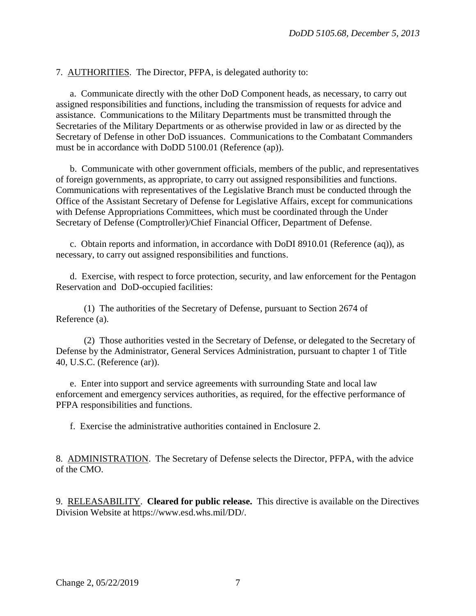7. AUTHORITIES. The Director, PFPA, is delegated authority to:

 a. Communicate directly with the other DoD Component heads, as necessary, to carry out assigned responsibilities and functions, including the transmission of requests for advice and assistance. Communications to the Military Departments must be transmitted through the Secretaries of the Military Departments or as otherwise provided in law or as directed by the Secretary of Defense in other DoD issuances. Communications to the Combatant Commanders must be in accordance with DoDD 5100.01 (Reference (ap)).

 b. Communicate with other government officials, members of the public, and representatives of foreign governments, as appropriate, to carry out assigned responsibilities and functions. Communications with representatives of the Legislative Branch must be conducted through the Office of the Assistant Secretary of Defense for Legislative Affairs, except for communications with Defense Appropriations Committees, which must be coordinated through the Under Secretary of Defense (Comptroller)/Chief Financial Officer, Department of Defense.

 c. Obtain reports and information, in accordance with DoDI 8910.01 (Reference (aq)), as necessary, to carry out assigned responsibilities and functions.

 d. Exercise, with respect to force protection, security, and law enforcement for the Pentagon Reservation and DoD-occupied facilities:

 (1) The authorities of the Secretary of Defense, pursuant to Section 2674 of Reference (a).

 (2) Those authorities vested in the Secretary of Defense, or delegated to the Secretary of Defense by the Administrator, General Services Administration, pursuant to chapter 1 of Title 40, U.S.C. (Reference (ar)).

e. Enter into support and service agreements with surrounding State and local law enforcement and emergency services authorities, as required, for the effective performance of PFPA responsibilities and functions.

f. Exercise the administrative authorities contained in Enclosure 2.

8. ADMINISTRATION. The Secretary of Defense selects the Director, PFPA, with the advice of the CMO.

9. RELEASABILITY. **Cleared for public release.** This directive is available on the Directives Division Website at https://www.esd.whs.mil/DD/.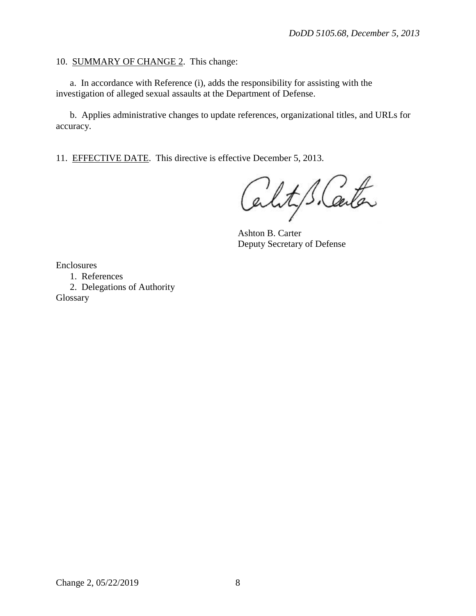#### 10. SUMMARY OF CHANGE 2. This change:

 a. In accordance with Reference (i), adds the responsibility for assisting with the investigation of alleged sexual assaults at the Department of Defense.

 b. Applies administrative changes to update references, organizational titles, and URLs for accuracy.

11. EFFECTIVE DATE. This directive is effective December 5, 2013.

Cality S. Carta

Ashton B. Carter Deputy Secretary of Defense

Enclosures

1. References

 2. Delegations of Authority Glossary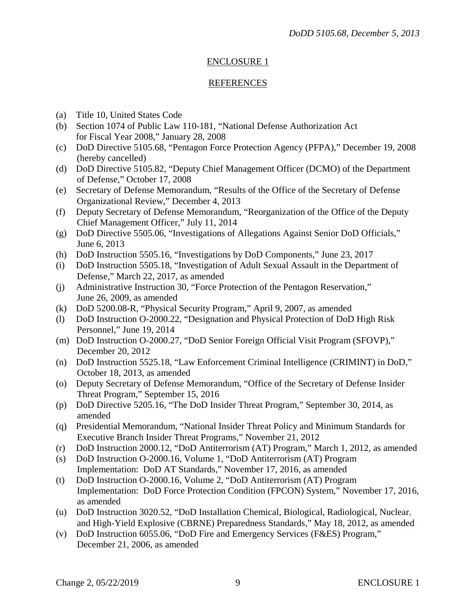## ENCLOSURE 1

## REFERENCES

- <span id="page-8-0"></span>(a) Title 10, United States Code
- (b) Section 1074 of Public Law 110-181, "National Defense Authorization Act for Fiscal Year 2008," January 28, 2008
- (c) DoD Directive 5105.68, "Pentagon Force Protection Agency (PFPA)," December 19, 2008 (hereby cancelled)
- (d) [DoD Directive 5105.8](file://pfpa.local/SHARED/POLICY/DODD%205105/pdf2/d510553p.pdf)2, "Deputy Chief Management Officer (DCMO) of the Department of Defense," October 17, 2008
- (e) Secretary of Defense Memorandum, "Results of the Office of the Secretary of Defense Organizational Review," December 4, 2013
- (f) Deputy Secretary of Defense Memorandum, "Reorganization of the Office of the Deputy Chief Management Officer," July 11, 2014
- (g) DoD Directive 5505.06, "Investigations of Allegations Against Senior DoD Officials," June 6, 2013
- (h) DoD Instruction 5505.16, "Investigations by DoD Components," June 23, 2017
- (i) DoD Instruction 5505.18, "Investigation of Adult Sexual Assault in the Department of Defense," March 22, 2017, as amended
- (j) Administrative Instruction 30, "Force Protection of the Pentagon Reservation," June 26, 2009, as amended
- (k) DoD 5200.08-R, "Physical Security Program," April 9, 2007, as amended
- (l) DoD Instruction O-2000.22, "Designation and Physical Protection of DoD High Risk Personnel," June 19, 2014
- (m) DoD Instruction O-2000.27, "DoD Senior Foreign Official Visit Program (SFOVP)," December 20, 2012
- (n) DoD Instruction 5525.18, "Law Enforcement Criminal Intelligence (CRIMINT) in DoD," October 18, 2013, as amended
- (o) Deputy Secretary of Defense Memorandum, "Office of the Secretary of Defense Insider Threat Program," September 15, 2016
- (p) DoD Directive 5205.16, "The DoD Insider Threat Program," September 30, 2014, as amended
- (q) Presidential Memorandum, "National Insider Threat Policy and Minimum Standards for Executive Branch Insider Threat Programs," November 21, 2012
- (r) [DoD Instruction 2000.12,](file://pfpa.local/SHARED/POLICY/DODD%205105/pdf2/d200012p.pdf) "DoD Antiterrorism (AT) Program," March 1, 2012, as amended
- (s) DoD Instruction O-2000.16, Volume 1, "DoD Antiterrorism (AT) Program Implementation: DoD AT Standards," November 17, 2016, as amended
- (t) DoD Instruction O-2000.16, Volume 2, "DoD Antiterrorism (AT) Program Implementation: DoD Force Protection Condition (FPCON) System," November 17, 2016, as amended
- (u) DoD Instruction 3020.52, "DoD Installation Chemical, Biological, Radiological, Nuclear, and High-Yield Explosive (CBRNE) Preparedness Standards," May 18, 2012, as amended
- (v) DoD Instruction 6055.06, "DoD Fire and Emergency Services (F&ES) Program," December 21, 2006, as amended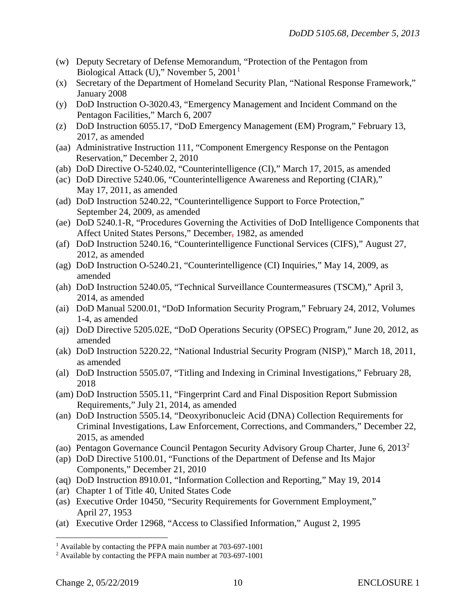- (w) Deputy Secretary of Defense Memorandum, "Protection of the Pentagon from Biological Attack (U)," November 5, 200[1](#page-9-0)<sup>1</sup>
- (x) Secretary of the Department of Homeland Security Plan, "National Response Framework," January 2008
- (y) DoD Instruction O-3020.43, "Emergency Management and Incident Command on the Pentagon Facilities," March 6, 2007
- (z) DoD Instruction 6055.17, "DoD Emergency Management (EM) Program," February 13, 2017, as amended
- (aa) Administrative Instruction 111, "Component Emergency Response on the Pentagon Reservation," December 2, 2010
- (ab) DoD Directive O-5240.02, "Counterintelligence (CI)," March 17, 2015, as amended
- (ac) DoD Directive 5240.06, "Counterintelligence Awareness and Reporting (CIAR)," May 17, 2011, as amended
- (ad) DoD Instruction 5240.22, "Counterintelligence Support to Force Protection," September 24, 2009, as amended
- (ae) DoD 5240.1-R, "Procedures Governing the Activities of DoD Intelligence Components that Affect United States Persons," December, 1982, as amended
- (af) DoD Instruction 5240.16, "Counterintelligence Functional Services (CIFS)," August 27, 2012, as amended
- (ag) DoD Instruction O-5240.21, "Counterintelligence (CI) Inquiries," May 14, 2009, as amended
- (ah) DoD Instruction 5240.05, "Technical Surveillance Countermeasures (TSCM)," April 3, 2014, as amended
- (ai) DoD Manual 5200.01, "DoD Information Security Program," February 24, 2012, Volumes 1-4, as amended
- (aj) DoD Directive 5205.02E, "DoD Operations Security (OPSEC) Program," June 20, 2012, as amended
- (ak) [DoD Instruction 5220.22,](file://pfpa.local/SHARED/POLICY/DODD%205105/pdf2/d522022p.pdf) "National Industrial Security Program (NISP)," March 18, 2011, as amended
- (al) DoD Instruction 5505.07, "Titling and Indexing in Criminal Investigations," February 28, 2018
- (am) DoD Instruction 5505.11, "Fingerprint Card and Final Disposition Report Submission Requirements," July 21, 2014, as amended
- (an) DoD Instruction 5505.14, "Deoxyribonucleic Acid (DNA) Collection Requirements for Criminal Investigations, Law Enforcement, Corrections, and Commanders," December 22, 2015, as amended
- (ao) Pentagon Governance Council Pentagon Security Advisory Group Charter, June 6, 2013[2](#page-9-1)
- (ap) DoD Directive 5100.01, "Functions of the Department of Defense and Its Major Components," December 21, 2010
- (aq) DoD Instruction 8910.01, "Information Collection and Reporting," May 19, 2014
- (ar) Chapter 1 of Title 40, United States Code
- (as) Executive Order 10450, "Security Requirements for Government Employment," April 27, 1953
- (at) Executive Order 12968, "Access to Classified Information," August 2, 1995

<span id="page-9-0"></span> $\overline{a}$ <sup>1</sup> Available by contacting the PFPA main number at 703-697-1001

<span id="page-9-1"></span><sup>2</sup> Available by contacting the PFPA main number at 703-697-1001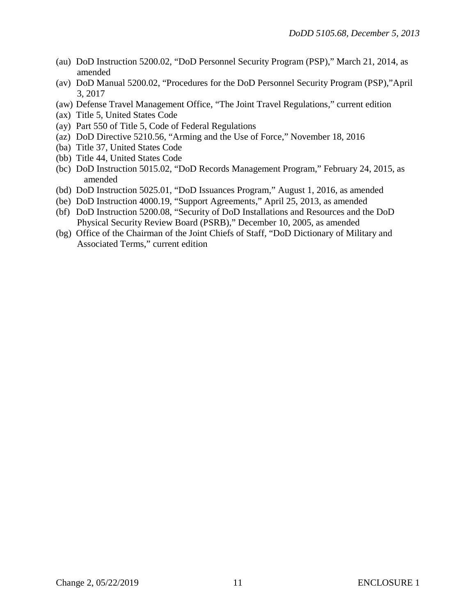- (au) DoD Instruction 5200.02, "DoD Personnel Security Program (PSP)," March 21, 2014, as amended
- (av) DoD Manual 5200.02, "Procedures for the DoD Personnel Security Program (PSP),"April 3, 2017
- (aw) Defense Travel Management Office, "The Joint Travel Regulations," current edition
- (ax) Title 5, United States Code
- (ay) Part 550 of Title 5, Code of Federal Regulations
- (az) DoD Directive 5210.56, "Arming and the Use of Force," November 18, 2016
- (ba) Title 37, United States Code
- (bb) Title 44, United States Code
- (bc) DoD Instruction 5015.02, "DoD Records Management Program," February 24, 2015, as amended
- (bd) DoD Instruction 5025.01, "DoD Issuances Program," August 1, 2016, as amended
- (be) DoD Instruction 4000.19, "Support Agreements," April 25, 2013, as amended
- (bf) DoD Instruction 5200.08, "Security of DoD Installations and Resources and the DoD Physical Security Review Board (PSRB)," December 10, 2005, as amended
- (bg) Office of the Chairman of the Joint Chiefs of Staff, "DoD Dictionary of Military and Associated Terms," current edition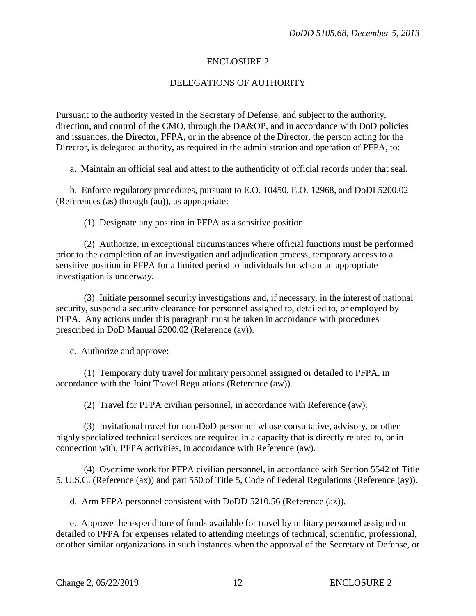#### ENCLOSURE 2

#### DELEGATIONS OF AUTHORITY

Pursuant to the authority vested in the Secretary of Defense, and subject to the authority, direction, and control of the CMO, through the DA&OP, and in accordance with DoD policies and issuances, the Director, PFPA, or in the absence of the Director, the person acting for the Director, is delegated authority, as required in the administration and operation of PFPA, to:

a. Maintain an official seal and attest to the authenticity of official records under that seal.

 b. Enforce regulatory procedures, pursuant to E.O. 10450, E.O. 12968, and DoDI 5200.02 (References (as) through (au)), as appropriate:

(1) Designate any position in PFPA as a sensitive position.

 (2) Authorize, in exceptional circumstances where official functions must be performed prior to the completion of an investigation and adjudication process, temporary access to a sensitive position in PFPA for a limited period to individuals for whom an appropriate investigation is underway.

 (3) Initiate personnel security investigations and, if necessary, in the interest of national security, suspend a security clearance for personnel assigned to, detailed to, or employed by PFPA. Any actions under this paragraph must be taken in accordance with procedures prescribed in DoD Manual 5200.02 (Reference (av)).

c. Authorize and approve:

 (1) Temporary duty travel for military personnel assigned or detailed to PFPA, in accordance with the Joint Travel Regulations (Reference (aw)).

(2) Travel for PFPA civilian personnel, in accordance with Reference (aw).

 (3) Invitational travel for non-DoD personnel whose consultative, advisory, or other highly specialized technical services are required in a capacity that is directly related to, or in connection with, PFPA activities, in accordance with Reference (aw).

 (4) Overtime work for PFPA civilian personnel, in accordance with Section 5542 of Title 5, U.S.C. (Reference (ax)) and part 550 of Title 5, Code of Federal Regulations (Reference (ay)).

d. Arm PFPA personnel consistent with DoDD 5210.56 (Reference (az)).

 e. Approve the expenditure of funds available for travel by military personnel assigned or detailed to PFPA for expenses related to attending meetings of technical, scientific, professional, or other similar organizations in such instances when the approval of the Secretary of Defense, or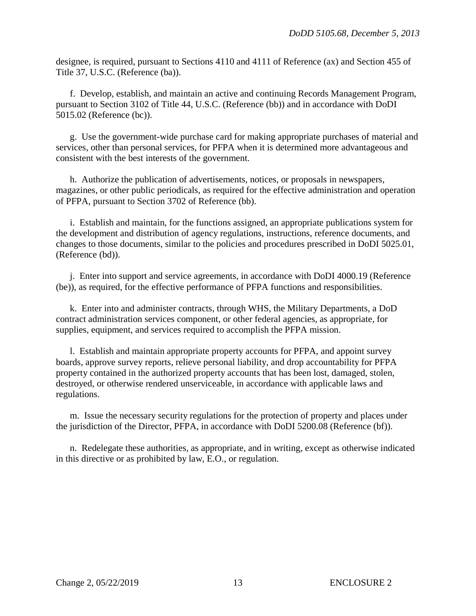designee, is required, pursuant to Sections 4110 and 4111 of Reference (ax) and Section 455 of Title 37, U.S.C. (Reference (ba)).

 f. Develop, establish, and maintain an active and continuing Records Management Program, pursuant to Section 3102 of Title 44, U.S.C. (Reference (bb)) and in accordance with DoDI 5015.02 (Reference (bc)).

 g. Use the government-wide purchase card for making appropriate purchases of material and services, other than personal services, for PFPA when it is determined more advantageous and consistent with the best interests of the government.

 h. Authorize the publication of advertisements, notices, or proposals in newspapers, magazines, or other public periodicals, as required for the effective administration and operation of PFPA, pursuant to Section 3702 of Reference (bb).

 i. Establish and maintain, for the functions assigned, an appropriate publications system for the development and distribution of agency regulations, instructions, reference documents, and changes to those documents, similar to the policies and procedures prescribed in DoDI 5025.01, (Reference (bd)).

 j. Enter into support and service agreements, in accordance with DoDI 4000.19 (Reference (be)), as required, for the effective performance of PFPA functions and responsibilities.

 k. Enter into and administer contracts, through WHS, the Military Departments, a DoD contract administration services component, or other federal agencies, as appropriate, for supplies, equipment, and services required to accomplish the PFPA mission.

 l. Establish and maintain appropriate property accounts for PFPA, and appoint survey boards, approve survey reports, relieve personal liability, and drop accountability for PFPA property contained in the authorized property accounts that has been lost, damaged, stolen, destroyed, or otherwise rendered unserviceable, in accordance with applicable laws and regulations.

 m. Issue the necessary security regulations for the protection of property and places under the jurisdiction of the Director, PFPA, in accordance with DoDI 5200.08 (Reference (bf)).

 n. Redelegate these authorities, as appropriate, and in writing, except as otherwise indicated in this directive or as prohibited by law, E.O., or regulation.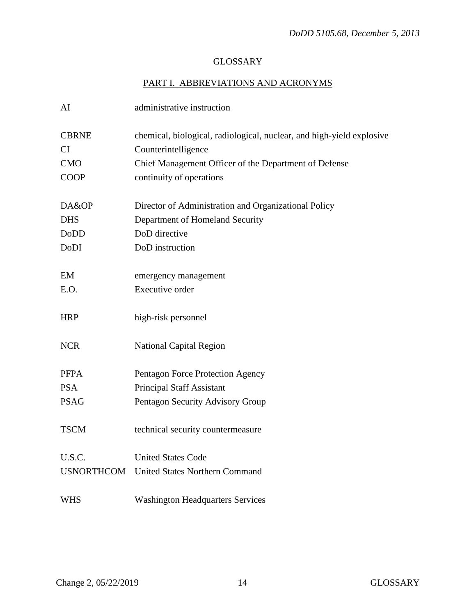# **GLOSSARY**

# PART I. ABBREVIATIONS AND ACRONYMS

| AI                | administrative instruction                                            |
|-------------------|-----------------------------------------------------------------------|
| <b>CBRNE</b>      | chemical, biological, radiological, nuclear, and high-yield explosive |
| <b>CI</b>         | Counterintelligence                                                   |
| <b>CMO</b>        | Chief Management Officer of the Department of Defense                 |
| <b>COOP</b>       | continuity of operations                                              |
| DA&OP             | Director of Administration and Organizational Policy                  |
| <b>DHS</b>        | Department of Homeland Security                                       |
| <b>DoDD</b>       | DoD directive                                                         |
| DoDI              | DoD instruction                                                       |
|                   |                                                                       |
| EM                | emergency management                                                  |
| E.O.              | Executive order                                                       |
| <b>HRP</b>        | high-risk personnel                                                   |
| <b>NCR</b>        | <b>National Capital Region</b>                                        |
| <b>PFPA</b>       | Pentagon Force Protection Agency                                      |
| <b>PSA</b>        | <b>Principal Staff Assistant</b>                                      |
| <b>PSAG</b>       | Pentagon Security Advisory Group                                      |
| <b>TSCM</b>       | technical security countermeasure                                     |
| U.S.C.            | <b>United States Code</b>                                             |
| <b>USNORTHCOM</b> | <b>United States Northern Command</b>                                 |
| <b>WHS</b>        | <b>Washington Headquarters Services</b>                               |